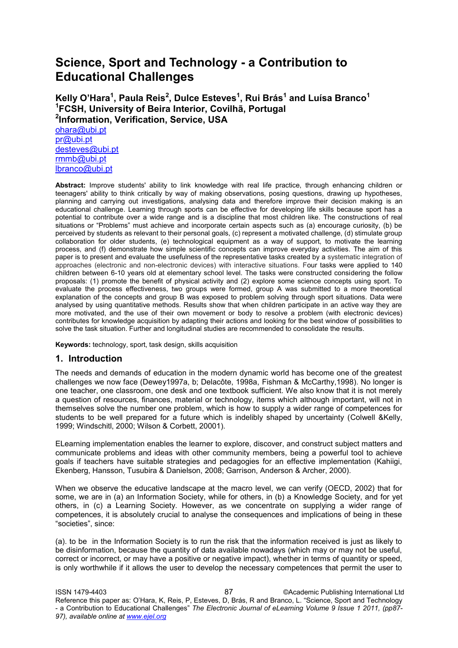# **Science, Sport and Technology - a Contribution to Educational Challenges**

**Kelly O'Hara<sup>1</sup> , Paula Reis<sup>2</sup> , Dulce Esteves<sup>1</sup> , Rui Brás<sup>1</sup> and Luísa Branco<sup>1</sup> 1 FCSH, University of Beira Interior, Covilhã, Portugal 2 Information, Verification, Service, USA**  [ohara@ubi.pt](mailto:ohara@ubi.pt) [pr@ubi.pt](mailto:pr@ubi.pt) [desteves@ubi.pt](mailto:desteves@ubi.pt) [rmmb@ubi.pt](mailto:rmmb@ubi.pt) [lbranco@ubi.pt](mailto:lbranco@ubi.pt)

**Abstract:** Improve students' ability to link knowledge with real life practice, through enhancing children or teenagers' ability to think critically by way of making observations, posing questions, drawing up hypotheses, planning and carrying out investigations, analysing data and therefore improve their decision making is an educational challenge. Learning through sports can be effective for developing life skills because sport has a potential to contribute over a wide range and is a discipline that most children like. The constructions of real situations or "Problems" must achieve and incorporate certain aspects such as (a) encourage curiosity, (b) be perceived by students as relevant to their personal goals, (c) represent a motivated challenge, (d) stimulate group collaboration for older students, (e) technological equipment as a way of support, to motivate the learning process, and (f) demonstrate how simple scientific concepts can improve everyday activities. The aim of this paper is to present and evaluate the usefulness of the representative tasks created by a systematic integration of approaches (electronic and non-electronic devices) with interactive situations. Four tasks were applied to 140 children between 6-10 years old at elementary school level. The tasks were constructed considering the follow proposals: (1) promote the benefit of physical activity and (2) explore some science concepts using sport. To evaluate the process effectiveness, two groups were formed, group A was submitted to a more theoretical explanation of the concepts and group B was exposed to problem solving through sport situations. Data were analysed by using quantitative methods. Results show that when children participate in an active way they are more motivated, and the use of their own movement or body to resolve a problem (with electronic devices) contributes for knowledge acquisition by adapting their actions and looking for the best window of possibilities to solve the task situation. Further and longitudinal studies are recommended to consolidate the results.

**Keywords:** technology, sport, task design, skills acquisition

#### **1. Introduction**

The needs and demands of education in the modern dynamic world has become one of the greatest challenges we now face (Dewey1997a, b; Delacôte, 1998a, Fishman & McCarthy,1998). No longer is one teacher, one classroom, one desk and one textbook sufficient. We also know that it is not merely a question of resources, finances, material or technology, items which although important, will not in themselves solve the number one problem, which is how to supply a wider range of competences for students to be well prepared for a future which is indelibly shaped by uncertainty (Colwell &Kelly, 1999; Windschitl, 2000; Wilson & Corbett, 20001).

ELearning implementation enables the learner to explore, discover, and construct subject matters and communicate problems and ideas with other community members, being a powerful tool to achieve goals if teachers have suitable strategies and pedagogies for an effective implementation (Kahiigi, Ekenberg, Hansson, Tusubira & Danielson, 2008; Garrison, Anderson & Archer, 2000).

When we observe the educative landscape at the macro level, we can verify (OECD, 2002) that for some, we are in (a) an Information Society, while for others, in (b) a Knowledge Society, and for yet others, in (c) a Learning Society. However, as we concentrate on supplying a wider range of competences, it is absolutely crucial to analyse the consequences and implications of being in these "societies", since:

(a). to be in the Information Society is to run the risk that the information received is just as likely to be disinformation, because the quantity of data available nowadays (which may or may not be useful, correct or incorrect, or may have a positive or negative impact), whether in terms of quantity or speed, is only worthwhile if it allows the user to develop the necessary competences that permit the user to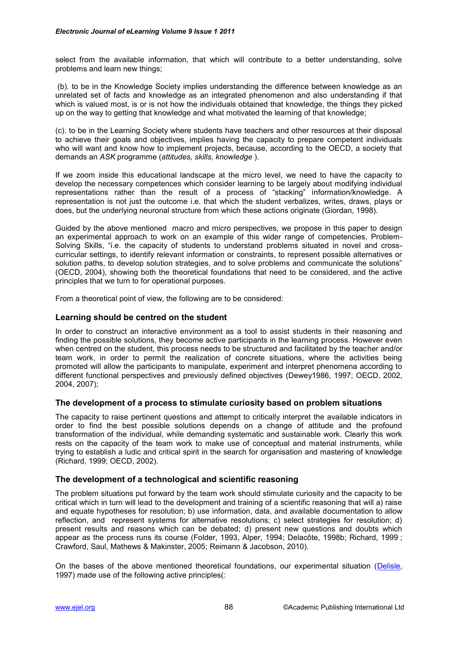select from the available information, that which will contribute to a better understanding, solve problems and learn new things;

 (b). to be in the Knowledge Society implies understanding the difference between knowledge as an unrelated set of facts and knowledge as an integrated phenomenon and also understanding if that which is valued most, is or is not how the individuals obtained that knowledge, the things they picked up on the way to getting that knowledge and what motivated the learning of that knowledge;

(c). to be in the Learning Society where students have teachers and other resources at their disposal to achieve their goals and objectives, implies having the capacity to prepare competent individuals who will want and know how to implement projects, because, according to the OECD, a society that demands an *ASK* programme (*attitudes, skills, knowledge* ).

If we zoom inside this educational landscape at the micro level, we need to have the capacity to develop the necessary competences which consider learning to be largely about modifying individual representations rather than the result of a process of "stacking" information/knowledge. A representation is not just the outcome i.e. that which the student verbalizes, writes, draws, plays or does, but the underlying neuronal structure from which these actions originate (Giordan, 1998).

Guided by the above mentioned macro and micro perspectives, we propose in this paper to design an experimental approach to work on an example of this wider range of competencies, Problem-Solving Skills, "i.e. the capacity of students to understand problems situated in novel and crosscurricular settings, to identify relevant information or constraints, to represent possible alternatives or solution paths, to develop solution strategies, and to solve problems and communicate the solutions" (OECD, 2004), showing both the theoretical foundations that need to be considered, and the active principles that we turn to for operational purposes.

From a theoretical point of view, the following are to be considered:

#### **Learning should be centred on the student**

In order to construct an interactive environment as a tool to assist students in their reasoning and finding the possible solutions, they become active participants in the learning process. However even when centred on the student, this process needs to be structured and facilitated by the teacher and/or team work, in order to permit the realization of concrete situations, where the activities being promoted will allow the participants to manipulate, experiment and interpret phenomena according to different functional perspectives and previously defined objectives (Dewey1986, 1997; OECD, 2002, 2004, 2007);

#### **The development of a process to stimulate curiosity based on problem situations**

The capacity to raise pertinent questions and attempt to critically interpret the available indicators in order to find the best possible solutions depends on a change of attitude and the profound transformation of the individual, while demanding systematic and sustainable work. Clearly this work rests on the capacity of the team work to make use of conceptual and material instruments, while trying to establish a ludic and critical spirit in the search for organisation and mastering of knowledge (Richard, 1999; OECD, 2002).

## **The development of a technological and scientific reasoning**

The problem situations put forward by the team work should stimulate curiosity and the capacity to be critical which in turn will lead to the development and training of a scientific reasoning that will a) raise and equate hypotheses for resolution; b) use information, data, and available documentation to allow reflection, and represent systems for alternative resolutions; c) select strategies for resolution; d) present results and reasons which can be debated; d) present new questions and doubts which appear as the process runs its course (Folder, 1993, Alper, 1994; Delacôte, 1998b; Richard, 1999 ; Crawford, Saul, Mathews & Makinster, 2005; Reimann & Jacobson, 2010).

On the bases of the above mentioned theoretical foundations, our experimental situation [\(Delisle,](http://www.amazon.com/Robert-Delisle/e/B001KIHS06/ref=ntt_athr_dp_pel_1) 1997) made use of the following active principles(: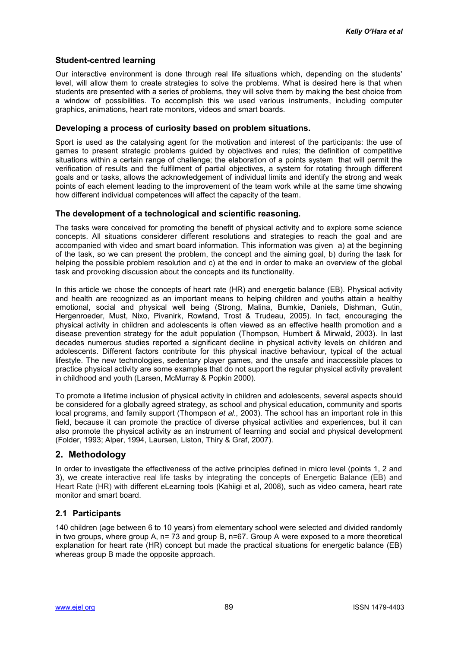## **Student-centred learning**

Our interactive environment is done through real life situations which, depending on the students' level, will allow them to create strategies to solve the problems. What is desired here is that when students are presented with a series of problems, they will solve them by making the best choice from a window of possibilities. To accomplish this we used various instruments, including computer graphics, animations, heart rate monitors, videos and smart boards.

## **Developing a process of curiosity based on problem situations.**

Sport is used as the catalysing agent for the motivation and interest of the participants: the use of games to present strategic problems guided by objectives and rules; the definition of competitive situations within a certain range of challenge; the elaboration of a points system that will permit the verification of results and the fulfilment of partial objectives, a system for rotating through different goals and or tasks, allows the acknowledgement of individual limits and identify the strong and weak points of each element leading to the improvement of the team work while at the same time showing how different individual competences will affect the capacity of the team.

#### **The development of a technological and scientific reasoning.**

The tasks were conceived for promoting the benefit of physical activity and to explore some science concepts. All situations considerer different resolutions and strategies to reach the goal and are accompanied with video and smart board information. This information was given a) at the beginning of the task, so we can present the problem, the concept and the aiming goal, b) during the task for helping the possible problem resolution and c) at the end in order to make an overview of the global task and provoking discussion about the concepts and its functionality.

In this article we chose the concepts of heart rate (HR) and energetic balance (EB). Physical activity and health are recognized as an important means to helping children and youths attain a healthy emotional, social and physical well being (Strong, Malina, Bumkie, Daniels, Dishman, Gutin, Hergenroeder, Must, Nixo, Pivanirk, Rowland, Trost & Trudeau, 2005). In fact, encouraging the physical activity in children and adolescents is often viewed as an effective health promotion and a disease prevention strategy for the adult population (Thompson, Humbert & Mirwald, 2003). In last decades numerous studies reported a significant decline in physical activity levels on children and adolescents. Different factors contribute for this physical inactive behaviour, typical of the actual lifestyle. The new technologies, sedentary player games, and the unsafe and inaccessible places to practice physical activity are some examples that do not support the regular physical activity prevalent in childhood and youth (Larsen, McMurray & Popkin 2000).

To promote a lifetime inclusion of physical activity in children and adolescents, several aspects should be considered for a globally agreed strategy, as school and physical education, community and sports local programs, and family support (Thompson *et al.*, 2003). The school has an important role in this field, because it can promote the practice of diverse physical activities and experiences, but it can also promote the physical activity as an instrument of learning and social and physical development (Folder, 1993; Alper, 1994, Laursen, Liston, Thiry & Graf, 2007).

## **2. Methodology**

In order to investigate the effectiveness of the active principles defined in micro level (points 1, 2 and 3), we create interactive real life tasks by integrating the concepts of Energetic Balance (EB) and Heart Rate (HR) with different eLearning tools (Kahiigi et al, 2008), such as video camera, heart rate monitor and smart board.

## **2.1 Participants**

140 children (age between 6 to 10 years) from elementary school were selected and divided randomly in two groups, where group A, n= 73 and group B, n=67. Group A were exposed to a more theoretical explanation for heart rate (HR) concept but made the practical situations for energetic balance (EB) whereas group B made the opposite approach.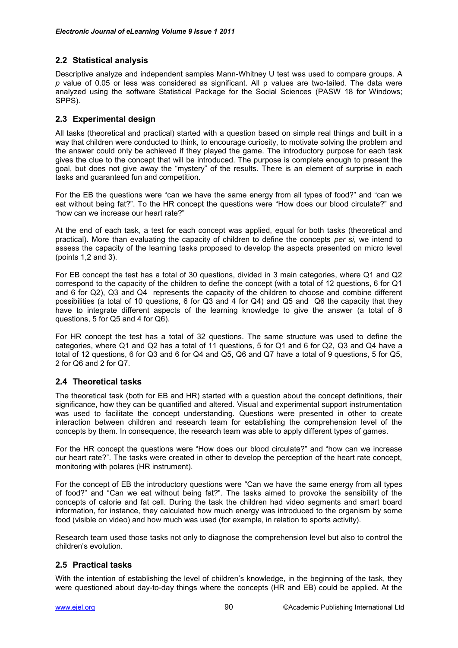## **2.2 Statistical analysis**

Descriptive analyze and independent samples Mann-Whitney U test was used to compare groups. A *p* value of 0.05 or less was considered as significant. All p values are two-tailed. The data were analyzed using the software Statistical Package for the Social Sciences (PASW 18 for Windows; SPPS).

## **2.3 Experimental design**

All tasks (theoretical and practical) started with a question based on simple real things and built in a way that children were conducted to think, to encourage curiosity, to motivate solving the problem and the answer could only be achieved if they played the game. The introductory purpose for each task gives the clue to the concept that will be introduced. The purpose is complete enough to present the goal, but does not give away the "mystery" of the results. There is an element of surprise in each tasks and guaranteed fun and competition.

For the EB the questions were "can we have the same energy from all types of food?" and "can we eat without being fat?". To the HR concept the questions were "How does our blood circulate?" and "how can we increase our heart rate?"

At the end of each task, a test for each concept was applied, equal for both tasks (theoretical and practical). More than evaluating the capacity of children to define the concepts *per si*, we intend to assess the capacity of the learning tasks proposed to develop the aspects presented on micro level (points 1,2 and 3).

For EB concept the test has a total of 30 questions, divided in 3 main categories, where Q1 and Q2 correspond to the capacity of the children to define the concept (with a total of 12 questions, 6 for Q1 and 6 for Q2), Q3 and Q4 represents the capacity of the children to choose and combine different possibilities (a total of 10 questions, 6 for Q3 and 4 for Q4) and Q5 and Q6 the capacity that they have to integrate different aspects of the learning knowledge to give the answer (a total of 8 questions, 5 for Q5 and 4 for Q6).

For HR concept the test has a total of 32 questions. The same structure was used to define the categories, where Q1 and Q2 has a total of 11 questions, 5 for Q1 and 6 for Q2, Q3 and Q4 have a total of 12 questions, 6 for Q3 and 6 for Q4 and Q5, Q6 and Q7 have a total of 9 questions, 5 for Q5, 2 for Q6 and 2 for Q7.

## **2.4 Theoretical tasks**

The theoretical task (both for EB and HR) started with a question about the concept definitions, their significance, how they can be quantified and altered. Visual and experimental support instrumentation was used to facilitate the concept understanding. Questions were presented in other to create interaction between children and research team for establishing the comprehension level of the concepts by them. In consequence, the research team was able to apply different types of games.

For the HR concept the questions were "How does our blood circulate?" and "how can we increase our heart rate?". The tasks were created in other to develop the perception of the heart rate concept, monitoring with polares (HR instrument).

For the concept of EB the introductory questions were "Can we have the same energy from all types of food?" and "Can we eat without being fat?". The tasks aimed to provoke the sensibility of the concepts of calorie and fat cell. During the task the children had video segments and smart board information, for instance, they calculated how much energy was introduced to the organism by some food (visible on video) and how much was used (for example, in relation to sports activity).

Research team used those tasks not only to diagnose the comprehension level but also to control the children"s evolution.

#### **2.5 Practical tasks**

With the intention of establishing the level of children"s knowledge, in the beginning of the task, they were questioned about day-to-day things where the concepts (HR and EB) could be applied. At the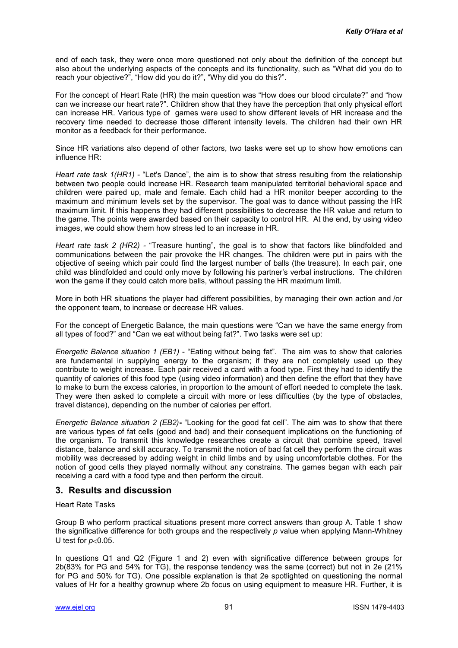end of each task, they were once more questioned not only about the definition of the concept but also about the underlying aspects of the concepts and its functionality, such as "What did you do to reach your objective?", "How did you do it?", "Why did you do this?".

For the concept of Heart Rate (HR) the main question was "How does our blood circulate?" and "how can we increase our heart rate?". Children show that they have the perception that only physical effort can increase HR. Various type of games were used to show different levels of HR increase and the recovery time needed to decrease those different intensity levels. The children had their own HR monitor as a feedback for their performance.

Since HR variations also depend of other factors, two tasks were set up to show how emotions can influence HR:

*Heart rate task 1(HR1)* - "Let's Dance", the aim is to show that stress resulting from the relationship between two people could increase HR. Research team manipulated territorial behavioral space and children were paired up, male and female. Each child had a HR monitor beeper according to the maximum and minimum levels set by the supervisor. The goal was to dance without passing the HR maximum limit. If this happens they had different possibilities to decrease the HR value and return to the game. The points were awarded based on their capacity to control HR. At the end, by using video images, we could show them how stress led to an increase in HR.

*Heart rate task 2 (HR2) -* "Treasure hunting", the goal is to show that factors like blindfolded and communications between the pair provoke the HR changes. The children were put in pairs with the objective of seeing which pair could find the largest number of balls (the treasure). In each pair, one child was blindfolded and could only move by following his partner"s verbal instructions. The children won the game if they could catch more balls, without passing the HR maximum limit.

More in both HR situations the player had different possibilities, by managing their own action and /or the opponent team, to increase or decrease HR values.

For the concept of Energetic Balance, the main questions were "Can we have the same energy from all types of food?" and "Can we eat without being fat?". Two tasks were set up:

*Energetic Balance situation 1 (EB1)* - "Eating without being fat". The aim was to show that calories are fundamental in supplying energy to the organism; if they are not completely used up they contribute to weight increase. Each pair received a card with a food type. First they had to identify the quantity of calories of this food type (using video information) and then define the effort that they have to make to burn the excess calories, in proportion to the amount of effort needed to complete the task. They were then asked to complete a circuit with more or less difficulties (by the type of obstacles, travel distance), depending on the number of calories per effort.

*Energetic Balance situation 2 (EB2)***-** "Looking for the good fat cell". The aim was to show that there are various types of fat cells (good and bad) and their consequent implications on the functioning of the organism. To transmit this knowledge researches create a circuit that combine speed, travel distance, balance and skill accuracy. To transmit the notion of bad fat cell they perform the circuit was mobility was decreased by adding weight in child limbs and by using uncomfortable clothes. For the notion of good cells they played normally without any constrains. The games began with each pair receiving a card with a food type and then perform the circuit.

## **3. Results and discussion**

Heart Rate Tasks

Group B who perform practical situations present more correct answers than group A. Table 1 show the significative difference for both groups and the respectively *p* value when applying Mann-Whitney U test for  $p<0.05$ .

In questions Q1 and Q2 (Figure 1 and 2) even with significative difference between groups for 2b(83% for PG and 54% for TG), the response tendency was the same (correct) but not in 2e (21% for PG and 50% for TG). One possible explanation is that 2e spotlighted on questioning the normal values of Hr for a healthy grownup where 2b focus on using equipment to measure HR. Further, it is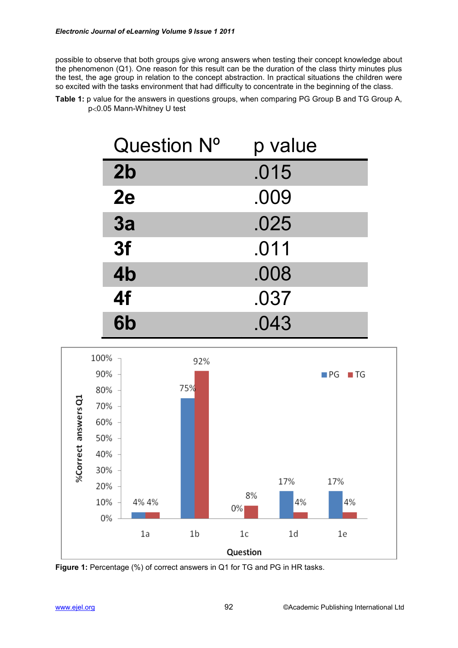possible to observe that both groups give wrong answers when testing their concept knowledge about the phenomenon (Q1). One reason for this result can be the duration of the class thirty minutes plus the test, the age group in relation to the concept abstraction. In practical situations the children were so excited with the tasks environment that had difficulty to concentrate in the beginning of the class.

| <b>Table 1:</b> p value for the answers in questions groups, when comparing PG Group B and TG Group A, |  |
|--------------------------------------------------------------------------------------------------------|--|
| p<0.05 Mann-Whitney U test                                                                             |  |

| Question N°    | p value |
|----------------|---------|
| 2 <sub>b</sub> | .015    |
| 2e             | .009    |
| 3a             | .025    |
| 3f             | .011    |
| 4b             | .008    |
| 4f             | .037    |
| 6b             | .043    |



**Figure 1:** Percentage (%) of correct answers in Q1 for TG and PG in HR tasks.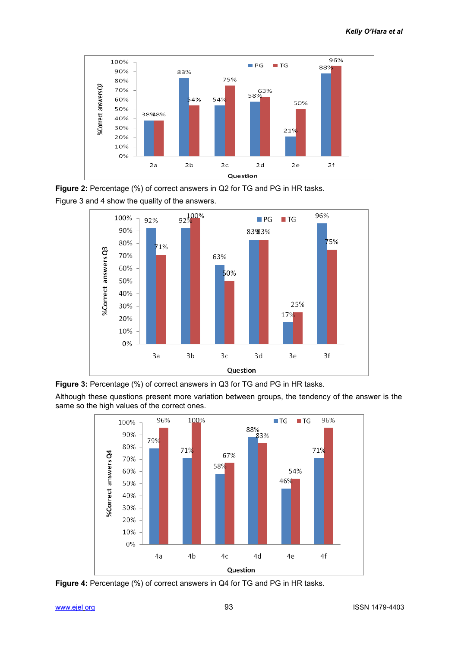

**Figure 2:** Percentage (%) of correct answers in Q2 for TG and PG in HR tasks. Figure 3 and 4 show the quality of the answers.





Although these questions present more variation between groups, the tendency of the answer is the same so the high values of the correct ones.



**Figure 4:** Percentage (%) of correct answers in Q4 for TG and PG in HR tasks.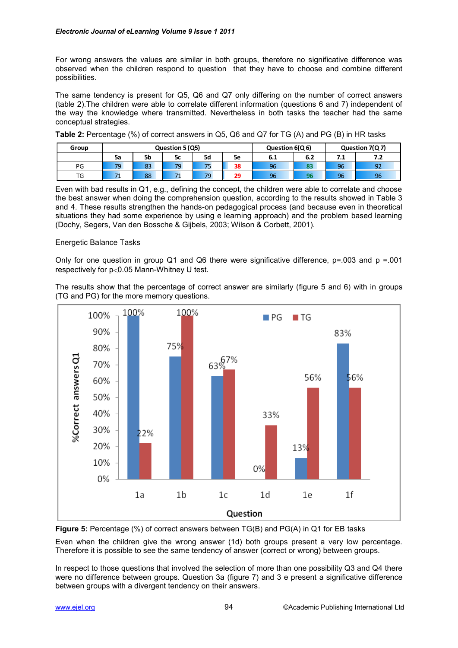For wrong answers the values are similar in both groups, therefore no significative difference was observed when the children respond to question that they have to choose and combine different possibilities.

The same tendency is present for Q5, Q6 and Q7 only differing on the number of correct answers (table 2).The children were able to correlate different information (questions 6 and 7) independent of the way the knowledge where transmitted. Nevertheless in both tasks the teacher had the same conceptual strategies.

**Table 2:** Percentage (%) of correct answers in Q5, Q6 and Q7 for TG (A) and PG (B) in HR tasks

| Group | Question 5 (Q5) |    |    |                                 |    | Question 6(Q6) |     | Question 7(Q7) |     |
|-------|-----------------|----|----|---------------------------------|----|----------------|-----|----------------|-----|
|       | 5a              | 5b | 5c | 5d                              | 5e | 6.1            | 6.2 | 7.1            | 7.2 |
| PG    | 79              | 83 | 79 | $\overline{\phantom{a}}$<br>ر ر | 38 | 96             | o-  | 96             | 92  |
| TG    |                 | 88 | -- | 79                              | 29 | 96             | ⊷   | 96             | 96  |

Even with bad results in Q1, e.g., defining the concept, the children were able to correlate and choose the best answer when doing the comprehension question, according to the results showed in Table 3 and 4. These results strengthen the hands-on pedagogical process (and because even in theoretical situations they had some experience by using e learning approach) and the problem based learning (Dochy, Segers, Van den Bossche & Gijbels, 2003; Wilson & Corbett, 2001).

#### Energetic Balance Tasks

Only for one question in group Q1 and Q6 there were significative difference, p=.003 and p =.001 respectively for  $p<0.05$  Mann-Whitney U test.

The results show that the percentage of correct answer are similarly (figure 5 and 6) with in groups (TG and PG) for the more memory questions.



**Figure 5:** Percentage (%) of correct answers between TG(B) and PG(A) in Q1 for EB tasks

Even when the children give the wrong answer (1d) both groups present a very low percentage. Therefore it is possible to see the same tendency of answer (correct or wrong) between groups.

In respect to those questions that involved the selection of more than one possibility Q3 and Q4 there were no difference between groups. Question 3a (figure 7) and 3 e present a significative difference between groups with a divergent tendency on their answers.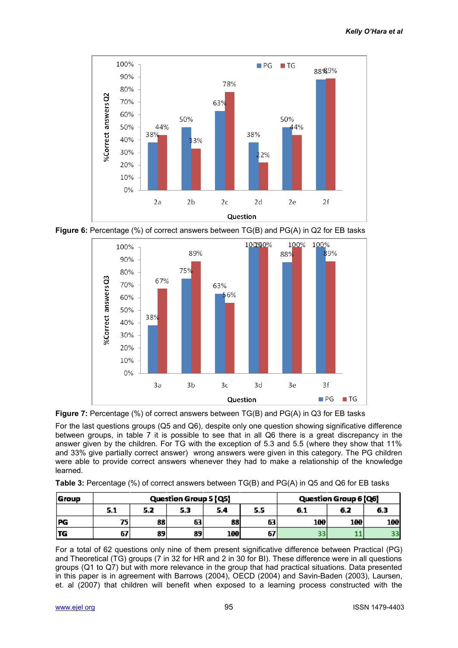







For the last questions groups (Q5 and Q6), despite only one question showing significative difference between groups, in table 7 it is possible to see that in all Q6 there is a great discrepancy in the answer given by the children. For TG with the exception of 5.3 and 5.5 (where they show that 11% and 33% give partially correct answer) wrong answers were given in this category. The PG children were able to provide correct answers whenever they had to make a relationship of the knowledge learned.

**Table 3:** Percentage (%) of correct answers between TG(B) and PG(A) in Q5 and Q6 for EB tasks

| <b>Group</b> | Question Group 5 [Q5] |     |     |            |     | Question Group 6 [Q6] |            |                  |
|--------------|-----------------------|-----|-----|------------|-----|-----------------------|------------|------------------|
|              | 5.1                   | 5.2 | 5.3 | 5.4        | 5.5 | 6.1                   | 6.2        | 6.3              |
| <b>PG</b>    | 75                    | 88  | 63  | 88         | 63  | 1 <b>M</b>            | <b>100</b> | 100 <sup>1</sup> |
| TG           | 67                    | 89  | 89  | <b>100</b> | 67  |                       |            |                  |

For a total of 62 questions only nine of them present significative difference between Practical (PG) and Theoretical (TG) groups (7 in 32 for HR and 2 in 30 for BI). These difference were in all questions groups (Q1 to Q7) but with more relevance in the group that had practical situations. Data presented in this paper is in agreement with Barrows (2004), OECD (2004) and Savin-Baden (2003), Laursen, et. al (2007) that children will benefit when exposed to a learning process constructed with the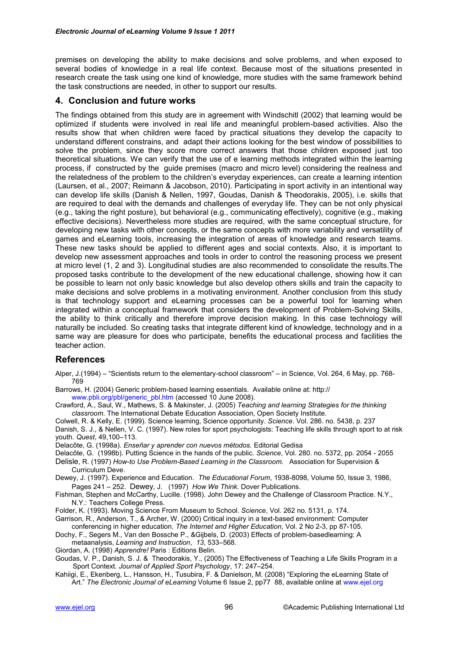premises on developing the ability to make decisions and solve problems, and when exposed to several bodies of knowledge in a real life context. Because most of the situations presented in research create the task using one kind of knowledge, more studies with the same framework behind the task constructions are needed, in other to support our results.

## **4. Conclusion and future works**

The findings obtained from this study are in agreement with Windschitl (2002) that learning would be optimized if students were involved in real life and meaningful problem-based activities. Also the results show that when children were faced by practical situations they develop the capacity to understand different constrains, and adapt their actions looking for the best window of possibilities to solve the problem, since they score more correct answers that those children exposed just too theoretical situations. We can verify that the use of e learning methods integrated within the learning process, if constructed by the guide premises (macro and micro level) considering the realness and the relatedness of the problem to the children"s everyday experiences, can create a learning intention (Laursen, et al., 2007; Reimann & Jacobson, 2010). Participating in sport activity in an intentional way can develop life skills (Danish & Nellen, 1997, Goudas, Danish & Theodorakis, 2005), i.e. skills that are required to deal with the demands and challenges of everyday life. They can be not only physical (e.g., taking the right posture), but behavioral (e.g., communicating effectively), cognitive (e.g., making effective decisions). Nevertheless more studies are required, with the same conceptual structure, for developing new tasks with other concepts, or the same concepts with more variability and versatility of games and eLearning tools, increasing the integration of areas of knowledge and research teams. These new tasks should be applied to different ages and social contexts. Also, it is important to develop new assessment approaches and tools in order to control the reasoning process we present at micro level (1, 2 and 3). Longitudinal studies are also recommended to consolidate the results.The proposed tasks contribute to the development of the new educational challenge, showing how it can be possible to learn not only basic knowledge but also develop others skills and train the capacity to make decisions and solve problems in a motivating environment. Another conclusion from this study is that technology support and eLearning processes can be a powerful tool for learning when integrated within a conceptual framework that considers the development of Problem-Solving Skills, the ability to think critically and therefore improve decision making. In this case technology will naturally be included. So creating tasks that integrate different kind of knowledge, technology and in a same way are pleasure for does who participate, benefits the educational process and facilities the teacher action.

## **References**

Alper, J.(1994) – "Scientists return to the elementary-school classroom" – in Science, Vol. 264, 6 May, pp. 768- 769

Barrows, H. (2004) Generic problem-based learning essentials. Available online at: http:// www.pbli.org/pbl/generic\_pbl.htm (accessed 10 June 2008).

Crawford, A., Saul, W., Mathews, S. & Makinster, J. (2005) *Teaching and learning Strategies for the thinking classroom*. The International Debate Education Association, Open Society Institute.

Colwell, R. & Kelly, E. (1999). Science learning, Science opportunity. *Science*. Vol. 286. no. 5438, p. 237 Danish, S. J., & Nellen, V. C. (1997). New roles for sport psychologists: Teaching life skills through sport to at risk youth. *Quest*, 49,100–113.

Delacôte, G. (1998a). *Enseñar y aprender con nuevos métodos.* Editorial Gedisa

Delacôte, G. (1998b). Putting Science in the hands of the public. *Science*, Vol. 280. no. 5372, pp. 2054 - 2055

- [Delisle](http://www.amazon.com/Robert-Delisle/e/B001KIHS06/ref=ntt_athr_dp_pel_1), R. (1997) *How-to Use Problem-Based Learning in the Classroom.* Association for Supervision & Curriculum Deve.
- Dewey, J. (1997). Experience and Education*. The Educational Forum*, 1938-8098, Volume 50, Issue 3, 1986, Pages 241 – 252. [Dewey](http://www.amazon.com/John-Dewey/e/B001IQZCBM/ref=ntt_athr_dp_pel_1), J. (1997) *How We Think.* Dover Publications.
- Fishman, Stephen and McCarthy, Lucille. (1998). John Dewey and the Challenge of Classroom Practice. N.Y., N.Y.: Teachers College Press.
- Folder, K. (1993). Moving Science From Museum to School. *Science*, Vol. 262 no. 5131, p. 174.
- Garrison, R., Anderson, T., & Archer, W. (2000) Critical inquiry in a text-based environment: Computer conferencing in higher education. *The Internet and Higher Education*, Vol. 2 No 2-3, pp 87-105.

Dochy, F., Segers M., Van den Bossche P., &Gijbels, D. (2003) Effects of problem-basedlearning: A metaanalysis, *Learning and Instruction*, *13*, 533–568.

Giordan, A. (1998) *Apprendre!* Paris : Editions Belin.

Goudas, V. P., Danish, S. J. & Theodorakis, Y., (2005) The Effectiveness of Teaching a Life Skills Program in a Sport Context*. Journal of Applied Sport Psychology*, 17: 247–254.

Kahiigi, E., Ekenberg, L., Hansson, H., Tusubira, F. & Danielson, M. (2008) "Exploring the eLearning State of Art." *The Electronic Journal of eLearning* Volume 6 Issue 2, pp77 88, available online at [www.ejel.org](http://www.ejel.org/)